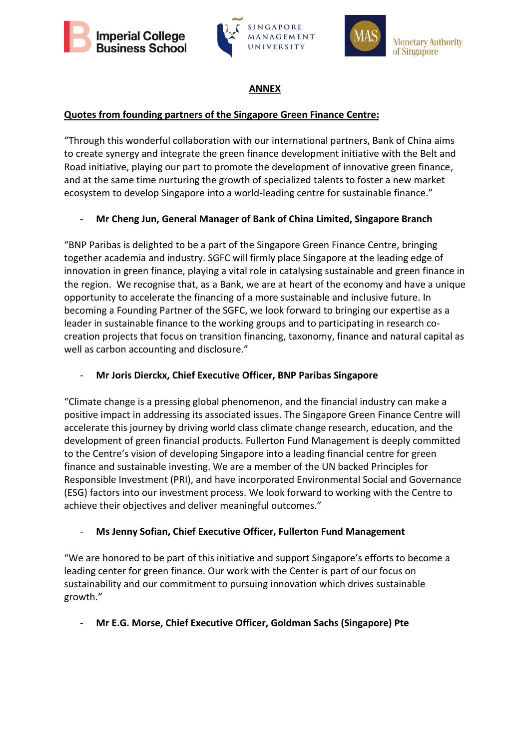





## **ANNEX**

## **Quotes from founding partners of the Singapore Green Finance Centre:**

"Through this wonderful collaboration with our international partners, Bank of China aims to create synergy and integrate the green finance development initiative with the Belt and Road initiative, playing our part to promote the development of innovative green finance, and at the same time nurturing the growth of specialized talents to foster a new market ecosystem to develop Singapore into a world-leading centre for sustainable finance."

## - **Mr Cheng Jun, General Manager of Bank of China Limited, Singapore Branch**

"BNP Paribas is delighted to be a part of the Singapore Green Finance Centre, bringing together academia and industry. SGFC will firmly place Singapore at the leading edge of innovation in green finance, playing a vital role in catalysing sustainable and green finance in the region. We recognise that, as a Bank, we are at heart of the economy and have a unique opportunity to accelerate the financing of a more sustainable and inclusive future. In becoming a Founding Partner of the SGFC, we look forward to bringing our expertise as a leader in sustainable finance to the working groups and to participating in research cocreation projects that focus on transition financing, taxonomy, finance and natural capital as well as carbon accounting and disclosure."

## - **Mr Joris Dierckx, Chief Executive Officer, BNP Paribas Singapore**

"Climate change is a pressing global phenomenon, and the financial industry can make a positive impact in addressing its associated issues. The Singapore Green Finance Centre will accelerate this journey by driving world class climate change research, education, and the development of green financial products. Fullerton Fund Management is deeply committed to the Centre's vision of developing Singapore into a leading financial centre for green finance and sustainable investing. We are a member of the UN backed Principles for Responsible Investment (PRI), and have incorporated Environmental Social and Governance (ESG) factors into our investment process. We look forward to working with the Centre to achieve their objectives and deliver meaningful outcomes."

## - **Ms Jenny Sofian, Chief Executive Officer, Fullerton Fund Management**

"We are honored to be part of this initiative and support Singapore's efforts to become a leading center for green finance. Our work with the Center is part of our focus on sustainability and our commitment to pursuing innovation which drives sustainable growth."

# - **Mr E.G. Morse, Chief Executive Officer, Goldman Sachs (Singapore) Pte**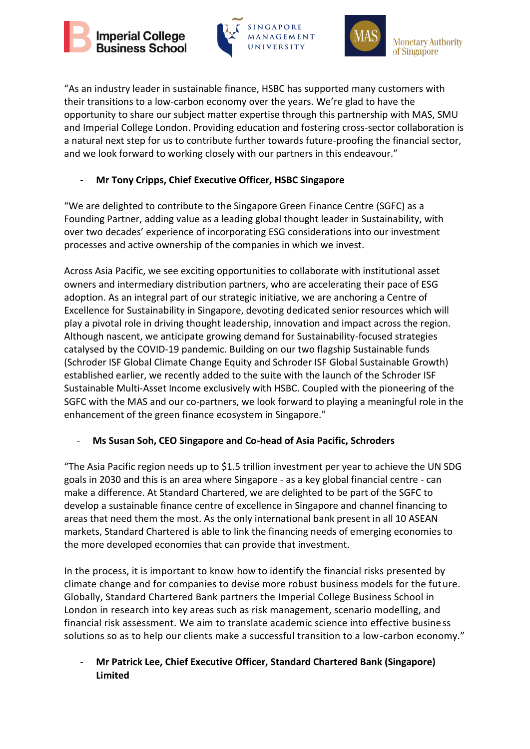





**Monetary Authority** of Singapore

"As an industry leader in sustainable finance, HSBC has supported many customers with their transitions to a low-carbon economy over the years. We're glad to have the opportunity to share our subject matter expertise through this partnership with MAS, SMU and Imperial College London. Providing education and fostering cross-sector collaboration is a natural next step for us to contribute further towards future-proofing the financial sector, and we look forward to working closely with our partners in this endeavour."

## - **Mr Tony Cripps, Chief Executive Officer, HSBC Singapore**

"We are delighted to contribute to the Singapore Green Finance Centre (SGFC) as a Founding Partner, adding value as a leading global thought leader in Sustainability, with over two decades' experience of incorporating ESG considerations into our investment processes and active ownership of the companies in which we invest.

Across Asia Pacific, we see exciting opportunities to collaborate with institutional asset owners and intermediary distribution partners, who are accelerating their pace of ESG adoption. As an integral part of our strategic initiative, we are anchoring a Centre of Excellence for Sustainability in Singapore, devoting dedicated senior resources which will play a pivotal role in driving thought leadership, innovation and impact across the region. Although nascent, we anticipate growing demand for Sustainability-focused strategies catalysed by the COVID-19 pandemic. Building on our two flagship Sustainable funds (Schroder ISF Global Climate Change Equity and Schroder ISF Global Sustainable Growth) established earlier, we recently added to the suite with the launch of the Schroder ISF Sustainable Multi-Asset Income exclusively with HSBC. Coupled with the pioneering of the SGFC with the MAS and our co-partners, we look forward to playing a meaningful role in the enhancement of the green finance ecosystem in Singapore."

## - **Ms Susan Soh, CEO Singapore and Co-head of Asia Pacific, Schroders**

"The Asia Pacific region needs up to \$1.5 trillion investment per year to achieve the UN SDG goals in 2030 and this is an area where Singapore - as a key global financial centre - can make a difference. At Standard Chartered, we are delighted to be part of the SGFC to develop a sustainable finance centre of excellence in Singapore and channel financing to areas that need them the most. As the only international bank present in all 10 ASEAN markets, Standard Chartered is able to link the financing needs of emerging economies to the more developed economies that can provide that investment.

In the process, it is important to know how to identify the financial risks presented by climate change and for companies to devise more robust business models for the future. Globally, Standard Chartered Bank partners the Imperial College Business School in London in research into key areas such as risk management, scenario modelling, and financial risk assessment. We aim to translate academic science into effective business solutions so as to help our clients make a successful transition to a low-carbon economy."

## - **Mr Patrick Lee, Chief Executive Officer, Standard Chartered Bank (Singapore) Limited**